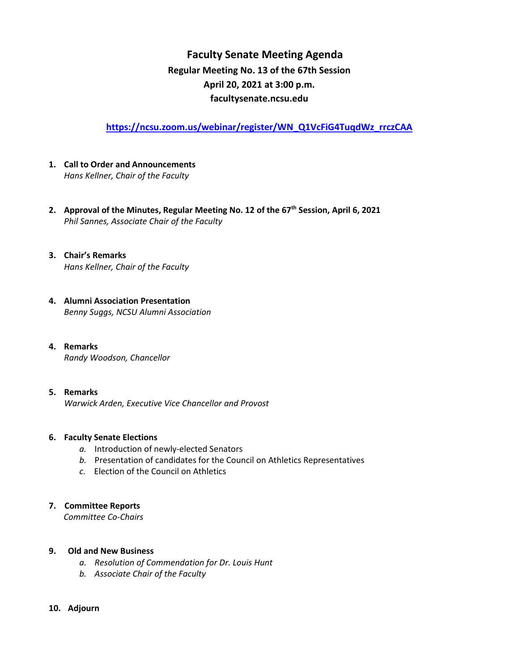# **Faculty Senate Meeting Agenda Regular Meeting No. 13 of the 67th Session April 20, 2021 at 3:00 p.m. [facultysenate.ncsu.edu](https://facultysenate.ncsu.edu/)**

**[https://ncsu.zoom.us/webinar/register/WN\\_Q1VcFiG4TuqdWz\\_rrczCAA](https://ncsu.zoom.us/webinar/register/WN_Q1VcFiG4TuqdWz_rrczCAA)**

- **1. Call to Order and Announcements** *Hans Kellner, Chair of the Faculty*
- **2. Approval of the Minutes, Regular Meeting No. 12 of the 67th Session, April 6, 2021** *Phil Sannes, Associate Chair of the Faculty*
- **3. Chair's Remarks** *Hans Kellner, Chair of the Faculty*
- **4. Alumni Association Presentation**  *Benny Suggs, NCSU Alumni Association*
- **4. Remarks** *Randy Woodson, Chancellor*
- **5. Remarks**  *Warwick Arden, Executive Vice Chancellor and Provost*

### **6. Faculty Senate Elections**

- *a.* Introduction of newly-elected Senators
- *b.* Presentation of candidates for the Council on Athletics Representatives
- *c*. Election of the Council on Athletics

### **7. Committee Reports**

 *Committee Co-Chairs*

#### **9. Old and New Business**

- *a. Resolution of Commendation for Dr. Louis Hunt*
- *b. Associate Chair of the Faculty*

#### **10. Adjourn**